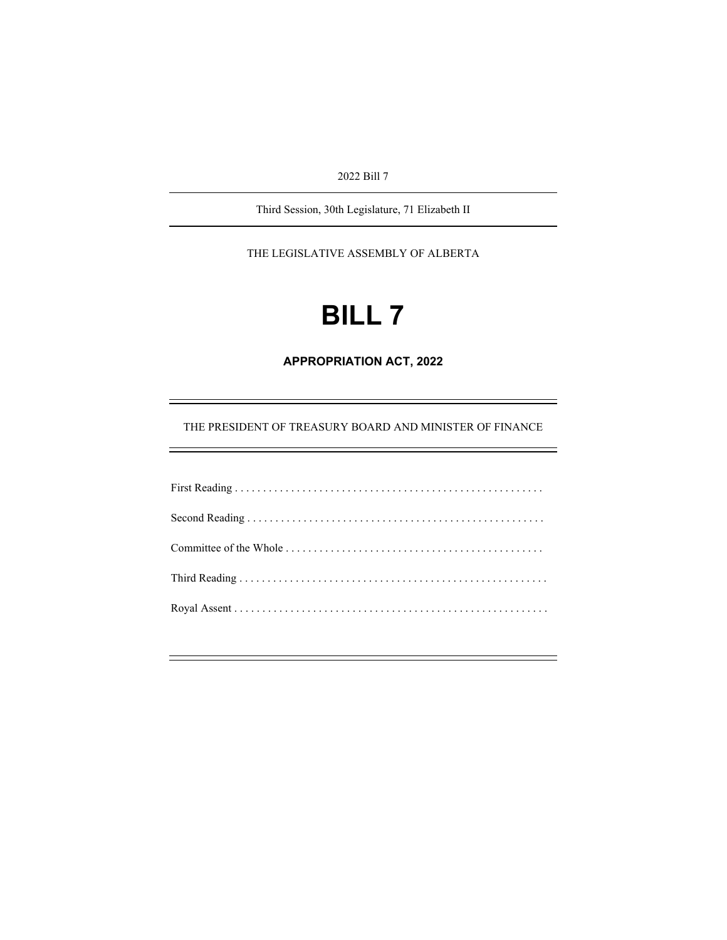2022 Bill 7

Third Session, 30th Legislature, 71 Elizabeth II

THE LEGISLATIVE ASSEMBLY OF ALBERTA

# **BILL 7**

**APPROPRIATION ACT, 2022** 

THE PRESIDENT OF TREASURY BOARD AND MINISTER OF FINANCE

Ξ

÷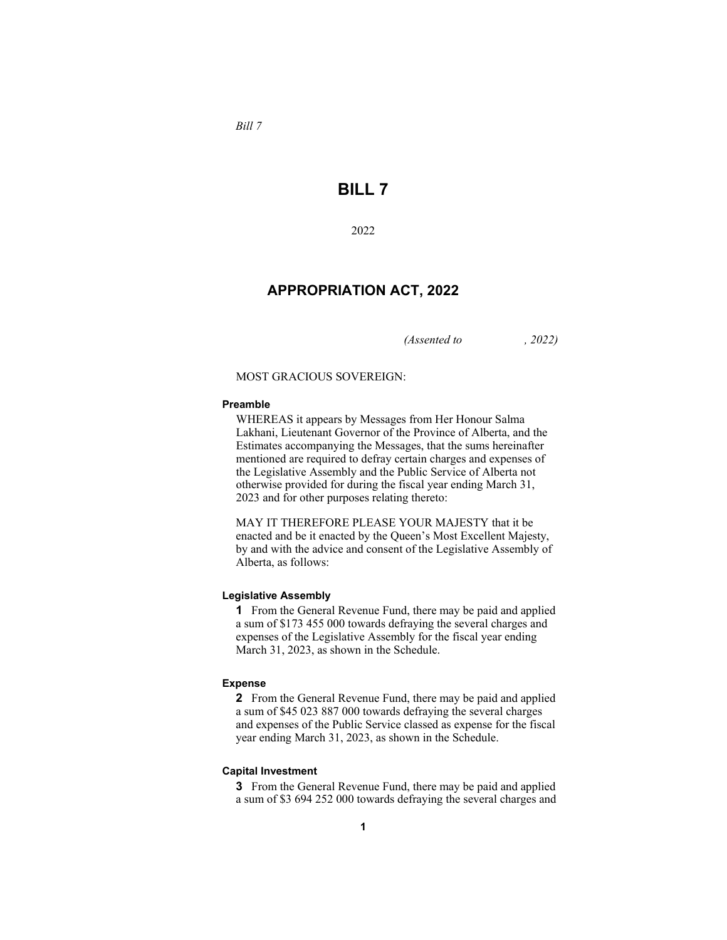*Bill 7* 

# **BILL 7**

#### 2022

## **APPROPRIATION ACT, 2022**

*(Assented to , 2022)* 

#### MOST GRACIOUS SOVEREIGN:

#### **Preamble**

WHEREAS it appears by Messages from Her Honour Salma Lakhani, Lieutenant Governor of the Province of Alberta, and the Estimates accompanying the Messages, that the sums hereinafter mentioned are required to defray certain charges and expenses of the Legislative Assembly and the Public Service of Alberta not otherwise provided for during the fiscal year ending March 31, 2023 and for other purposes relating thereto:

MAY IT THEREFORE PLEASE YOUR MAJESTY that it be enacted and be it enacted by the Queen's Most Excellent Majesty, by and with the advice and consent of the Legislative Assembly of Alberta, as follows:

#### **Legislative Assembly**

**1** From the General Revenue Fund, there may be paid and applied a sum of \$173 455 000 towards defraying the several charges and expenses of the Legislative Assembly for the fiscal year ending March 31, 2023, as shown in the Schedule.

#### **Expense**

**2** From the General Revenue Fund, there may be paid and applied a sum of \$45 023 887 000 towards defraying the several charges and expenses of the Public Service classed as expense for the fiscal year ending March 31, 2023, as shown in the Schedule.

#### **Capital Investment**

**3** From the General Revenue Fund, there may be paid and applied a sum of \$3 694 252 000 towards defraying the several charges and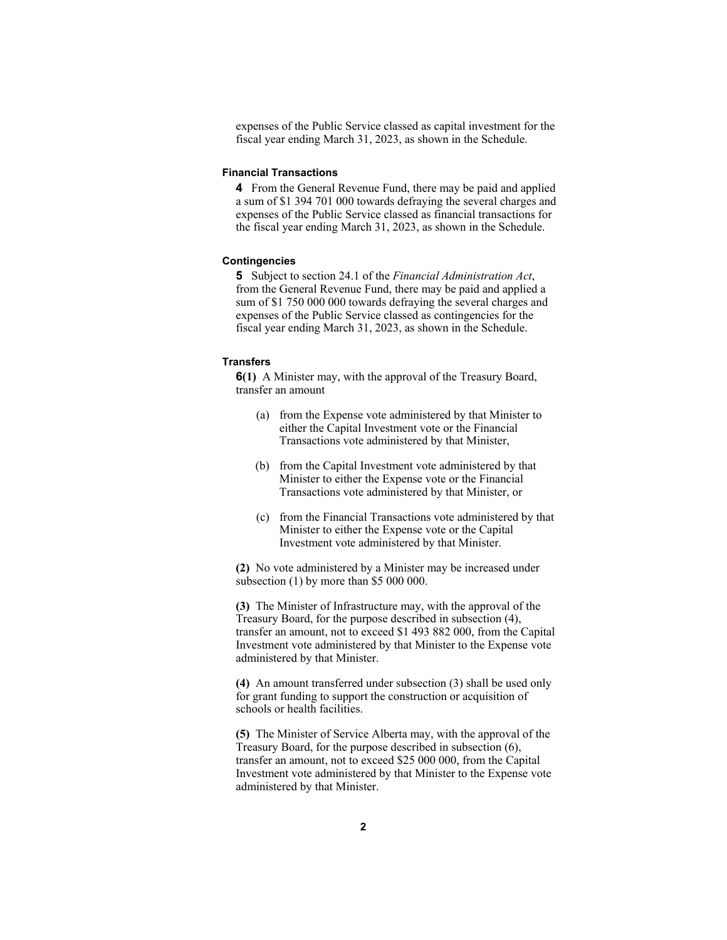expenses of the Public Service classed as capital investment for the fiscal year ending March 31, 2023, as shown in the Schedule.

#### **Financial Transactions**

**4** From the General Revenue Fund, there may be paid and applied a sum of \$1 394 701 000 towards defraying the several charges and expenses of the Public Service classed as financial transactions for the fiscal year ending March 31, 2023, as shown in the Schedule.

#### **Contingencies**

**5** Subject to section 24.1 of the *Financial Administration Act*, from the General Revenue Fund, there may be paid and applied a sum of \$1 750 000 000 towards defraying the several charges and expenses of the Public Service classed as contingencies for the fiscal year ending March 31, 2023, as shown in the Schedule.

#### **Transfers**

**6(1)** A Minister may, with the approval of the Treasury Board, transfer an amount

- (a) from the Expense vote administered by that Minister to either the Capital Investment vote or the Financial Transactions vote administered by that Minister,
- (b) from the Capital Investment vote administered by that Minister to either the Expense vote or the Financial Transactions vote administered by that Minister, or
- (c) from the Financial Transactions vote administered by that Minister to either the Expense vote or the Capital Investment vote administered by that Minister.

**(2)** No vote administered by a Minister may be increased under subsection (1) by more than \$5 000 000.

**(3)** The Minister of Infrastructure may, with the approval of the Treasury Board, for the purpose described in subsection (4), transfer an amount, not to exceed \$1 493 882 000, from the Capital Investment vote administered by that Minister to the Expense vote administered by that Minister.

**(4)** An amount transferred under subsection (3) shall be used only for grant funding to support the construction or acquisition of schools or health facilities.

**(5)** The Minister of Service Alberta may, with the approval of the Treasury Board, for the purpose described in subsection (6), transfer an amount, not to exceed \$25 000 000, from the Capital Investment vote administered by that Minister to the Expense vote administered by that Minister.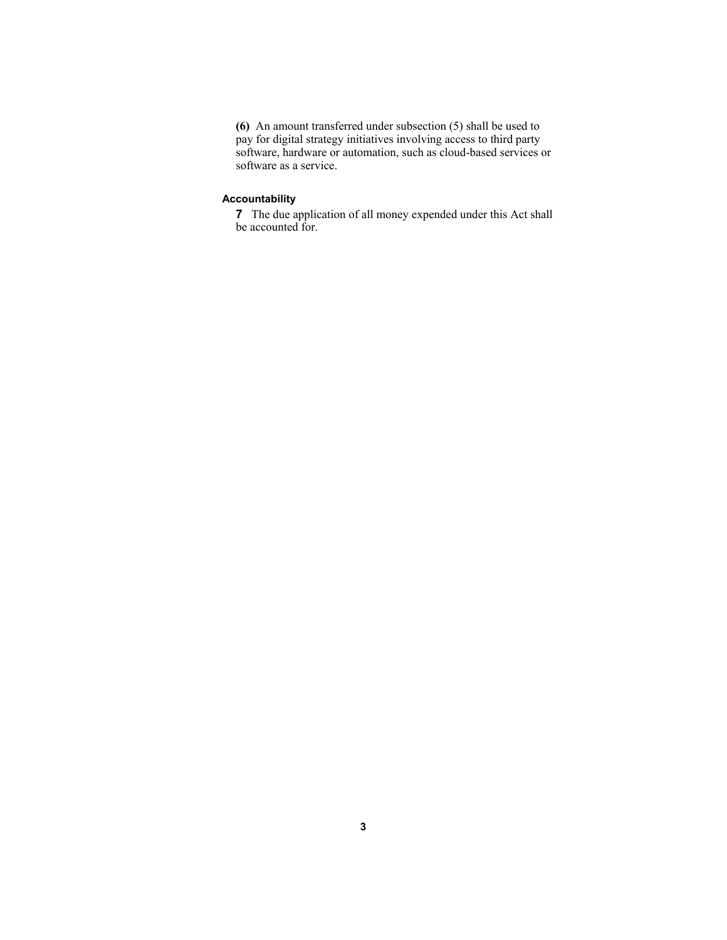**(6)** An amount transferred under subsection (5) shall be used to pay for digital strategy initiatives involving access to third party software, hardware or automation, such as cloud-based services or software as a service.

### **Accountability**

**7** The due application of all money expended under this Act shall be accounted for.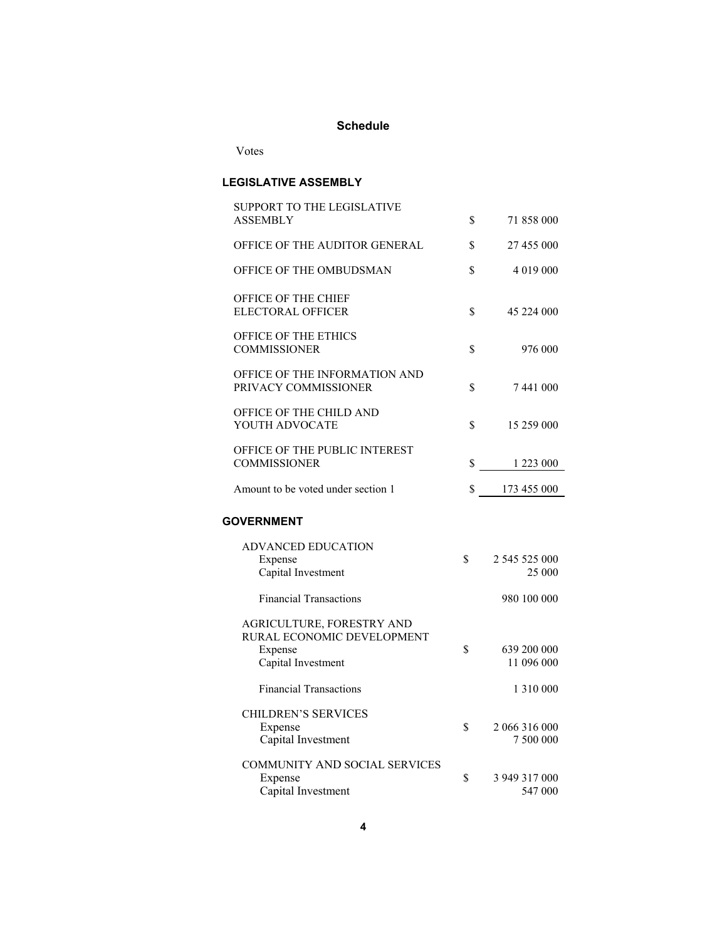## **Schedule**

Votes

## **LEGISLATIVE ASSEMBLY**

| SUPPORT TO THE LEGISLATIVE         |                                |
|------------------------------------|--------------------------------|
| <b>ASSEMBLY</b>                    | \$<br>71 858 000               |
| OFFICE OF THE AUDITOR GENERAL      | \$<br>27 455 000               |
| OFFICE OF THE OMBUDSMAN            | \$<br>4 019 000                |
| OFFICE OF THE CHIEF                |                                |
| <b>ELECTORAL OFFICER</b>           | \$<br>45 224 000               |
| OFFICE OF THE ETHICS               |                                |
| <b>COMMISSIONER</b>                | \$<br>976 000                  |
| OFFICE OF THE INFORMATION AND      |                                |
| PRIVACY COMMISSIONER               | \$<br>7441000                  |
| OFFICE OF THE CHILD AND            |                                |
| YOUTH ADVOCATE                     | \$<br>15 259 000               |
| OFFICE OF THE PUBLIC INTEREST      |                                |
| <b>COMMISSIONER</b>                | \$<br>1 223 000                |
| Amount to be voted under section 1 | \$<br>173 455 000              |
|                                    |                                |
| <b>GOVERNMENT</b>                  |                                |
| <b>ADVANCED EDUCATION</b>          |                                |
| Expense                            | \$<br>2 545 525 000            |
| Capital Investment                 | 25 000                         |
| <b>Financial Transactions</b>      | 980 100 000                    |
| AGRICULTURE, FORESTRY AND          |                                |
| RURAL ECONOMIC DEVELOPMENT         |                                |
| Expense                            | \$<br>639 200 000              |
| Capital Investment                 | 11 096 000                     |
| <b>Financial Transactions</b>      | 1 3 1 0 0 0 0                  |
| <b>CHILDREN'S SERVICES</b>         |                                |
| Expense                            | \$<br>2 066 316 000            |
| Capital Investment                 | 7 500 000                      |
| COMMUNITY AND SOCIAL SERVICES      |                                |
| Expense<br>Capital Investment      | \$<br>3 949 317 000<br>547 000 |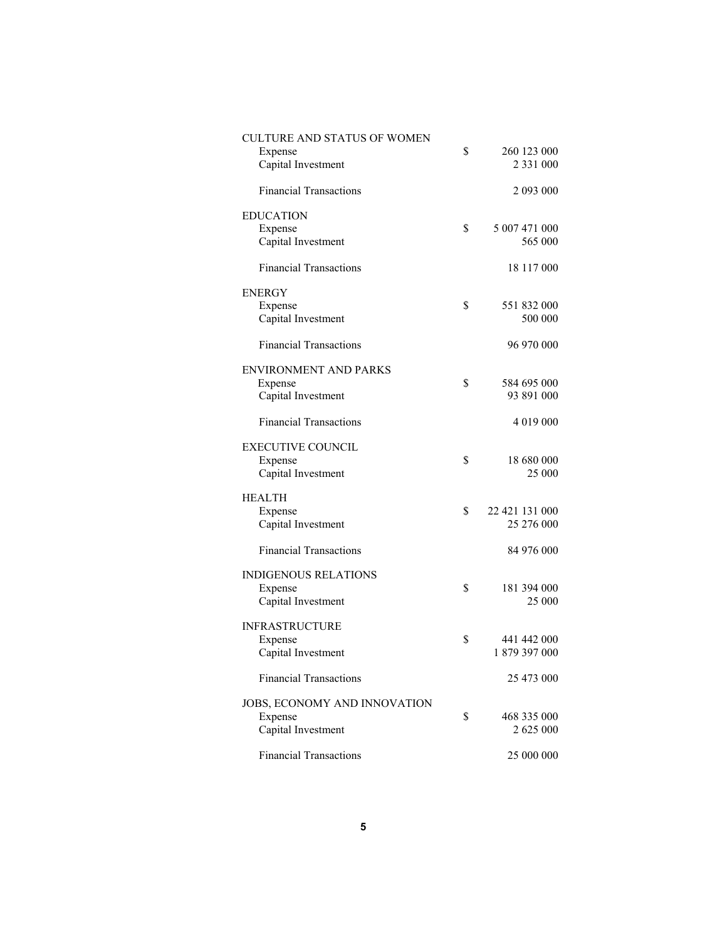| CULTURE AND STATUS OF WOMEN   |                      |
|-------------------------------|----------------------|
| Expense                       | \$<br>260 123 000    |
|                               | 2 3 3 1 0 0 0        |
| Capital Investment            |                      |
| <b>Financial Transactions</b> | 2 093 000            |
| <b>EDUCATION</b>              |                      |
|                               | \$<br>5 007 471 000  |
| Expense                       |                      |
| Capital Investment            | 565 000              |
| <b>Financial Transactions</b> | 18 117 000           |
| <b>ENERGY</b>                 |                      |
|                               |                      |
| Expense                       | \$<br>551 832 000    |
| Capital Investment            | 500 000              |
|                               |                      |
| <b>Financial Transactions</b> | 96 970 000           |
| <b>ENVIRONMENT AND PARKS</b>  |                      |
|                               | \$<br>584 695 000    |
| Expense                       |                      |
| Capital Investment            | 93 891 000           |
|                               |                      |
| <b>Financial Transactions</b> | 4 019 000            |
|                               |                      |
| <b>EXECUTIVE COUNCIL</b>      |                      |
| Expense                       | \$<br>18 680 000     |
|                               |                      |
| Capital Investment            | 25 000               |
|                               |                      |
| <b>HEALTH</b>                 |                      |
| Expense                       | \$<br>22 421 131 000 |
| Capital Investment            | 25 276 000           |
|                               |                      |
|                               |                      |
| <b>Financial Transactions</b> | 84 976 000           |
|                               |                      |
| <b>INDIGENOUS RELATIONS</b>   |                      |
| Expense                       | \$<br>181 394 000    |
| Capital Investment            | 25 000               |
|                               |                      |
| <b>INFRASTRUCTURE</b>         |                      |
|                               |                      |
| Expense                       | \$<br>441 442 000    |
| Capital Investment            | 1879 397 000         |
|                               |                      |
| <b>Financial Transactions</b> | 25 473 000           |
|                               |                      |
| JOBS, ECONOMY AND INNOVATION  |                      |
|                               |                      |
| Expense                       | \$<br>468 335 000    |
| Capital Investment            | 2 625 000            |
|                               |                      |
| <b>Financial Transactions</b> | 25 000 000           |
|                               |                      |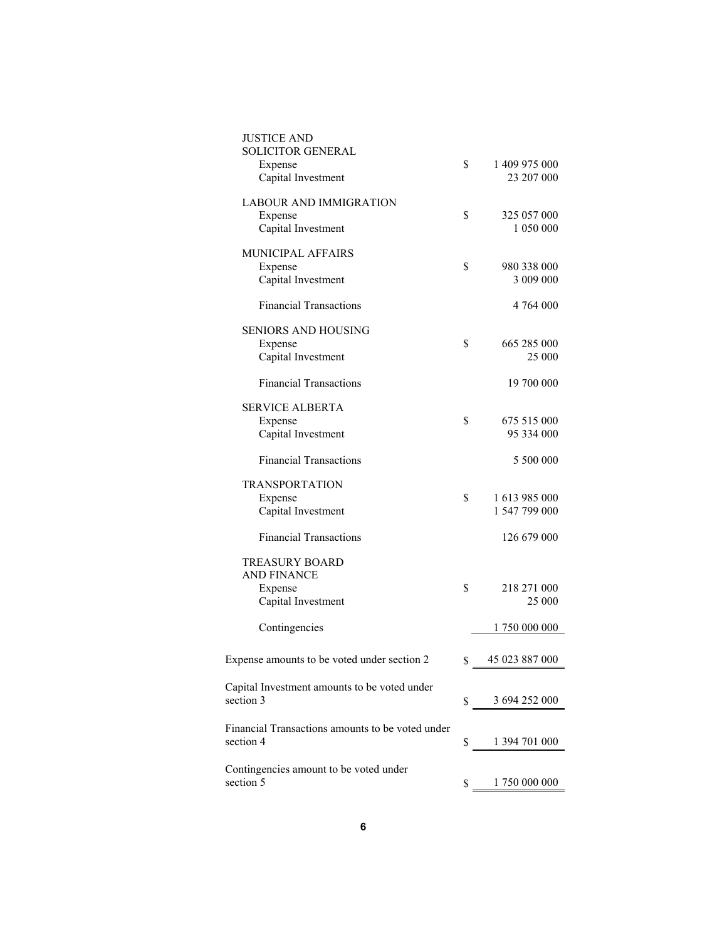| <b>JUSTICE AND</b><br><b>SOLICITOR GENERAL</b><br>Expense<br>Capital Investment | \$<br>1 409 975 000<br>23 207 000    |
|---------------------------------------------------------------------------------|--------------------------------------|
| <b>LABOUR AND IMMIGRATION</b><br>Expense<br>Capital Investment                  | \$<br>325 057 000<br>1 050 000       |
| MUNICIPAL AFFAIRS<br>Expense<br>Capital Investment                              | \$<br>980 338 000<br>3 009 000       |
| <b>Financial Transactions</b>                                                   | 4 764 000                            |
| <b>SENIORS AND HOUSING</b><br>Expense<br>Capital Investment                     | \$<br>665 285 000<br>25 000          |
| <b>Financial Transactions</b>                                                   | 19 700 000                           |
| SERVICE ALBERTA<br>Expense<br>Capital Investment                                | \$<br>675 515 000<br>95 334 000      |
| <b>Financial Transactions</b>                                                   | 5 500 000                            |
| TRANSPORTATION<br>Expense<br>Capital Investment                                 | \$<br>1 613 985 000<br>1 547 799 000 |
| <b>Financial Transactions</b>                                                   | 126 679 000                          |
| <b>TREASURY BOARD</b><br><b>AND FINANCE</b><br>Expense                          | \$<br>218 271 000                    |
| Capital Investment<br>Contingencies                                             | 25 000<br>1 750 000 000              |
| Expense amounts to be voted under section 2                                     | \$<br>45 023 887 000                 |
| Capital Investment amounts to be voted under<br>section 3                       | \$<br>3 694 252 000                  |
| Financial Transactions amounts to be voted under<br>section 4                   | \$<br>1 394 701 000                  |
| Contingencies amount to be voted under<br>section 5                             | \$<br>1 750 000 000                  |